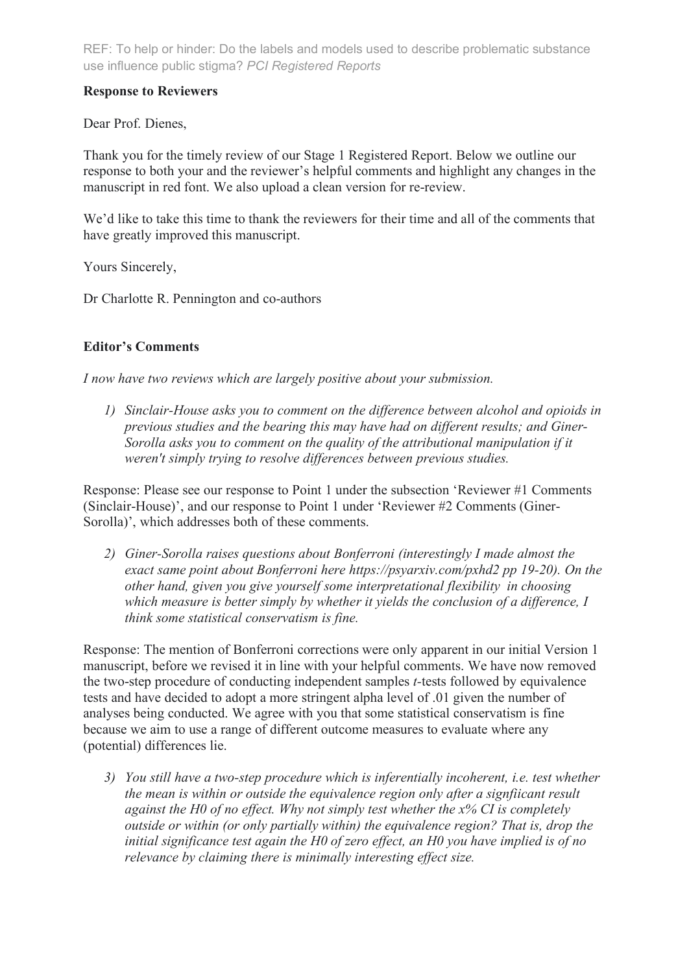# **Response to Reviewers**

Dear Prof. Dienes,

Thank you for the timely review of our Stage 1 Registered Report. Below we outline our response to both your and the reviewer's helpful comments and highlight any changes in the manuscript in red font. We also upload a clean version for re-review.

We'd like to take this time to thank the reviewers for their time and all of the comments that have greatly improved this manuscript.

Yours Sincerely,

Dr Charlotte R. Pennington and co-authors

# **Editor's Comments**

*I now have two reviews which are largely positive about your submission.* 

*1) Sinclair-House asks you to comment on the difference between alcohol and opioids in previous studies and the bearing this may have had on different results; and Giner-Sorolla asks you to comment on the quality of the attributional manipulation if it weren't simply trying to resolve differences between previous studies.*

Response: Please see our response to Point 1 under the subsection 'Reviewer #1 Comments (Sinclair-House)', and our response to Point 1 under 'Reviewer #2 Comments (Giner-Sorolla)', which addresses both of these comments.

*2) Giner-Sorolla raises questions about Bonferroni (interestingly I made almost the exact same point about Bonferroni here https://psyarxiv.com/pxhd2 pp 19-20). On the other hand, given you give yourself some interpretational flexibility in choosing which measure is better simply by whether it yields the conclusion of a difference, I think some statistical conservatism is fine.*

Response: The mention of Bonferroni corrections were only apparent in our initial Version 1 manuscript, before we revised it in line with your helpful comments. We have now removed the two-step procedure of conducting independent samples *t-*tests followed by equivalence tests and have decided to adopt a more stringent alpha level of .01 given the number of analyses being conducted. We agree with you that some statistical conservatism is fine because we aim to use a range of different outcome measures to evaluate where any (potential) differences lie.

*3) You still have a two-step procedure which is inferentially incoherent, i.e. test whether the mean is within or outside the equivalence region only after a signfiicant result against the H0 of no effect. Why not simply test whether the x% CI is completely outside or within (or only partially within) the equivalence region? That is, drop the initial significance test again the H0 of zero effect, an H0 you have implied is of no relevance by claiming there is minimally interesting effect size.*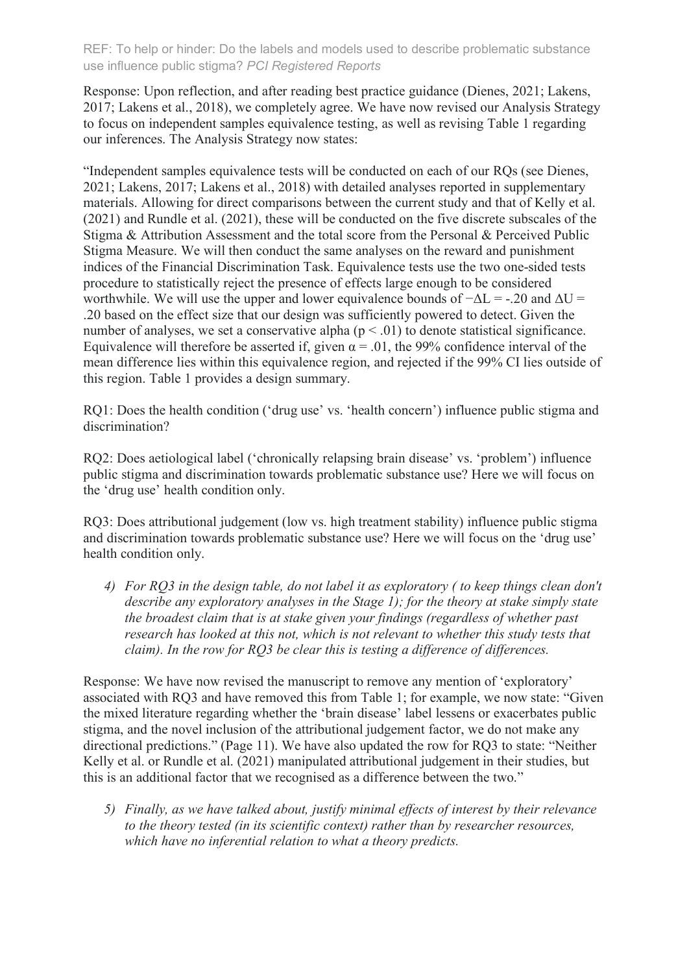Response: Upon reflection, and after reading best practice guidance (Dienes, 2021; Lakens, 2017; Lakens et al., 2018), we completely agree. We have now revised our Analysis Strategy to focus on independent samples equivalence testing, as well as revising Table 1 regarding our inferences. The Analysis Strategy now states:

"Independent samples equivalence tests will be conducted on each of our RQs (see Dienes, 2021; Lakens, 2017; Lakens et al., 2018) with detailed analyses reported in supplementary materials. Allowing for direct comparisons between the current study and that of Kelly et al. (2021) and Rundle et al. (2021), these will be conducted on the five discrete subscales of the Stigma & Attribution Assessment and the total score from the Personal & Perceived Public Stigma Measure. We will then conduct the same analyses on the reward and punishment indices of the Financial Discrimination Task. Equivalence tests use the two one-sided tests procedure to statistically reject the presence of effects large enough to be considered worthwhile. We will use the upper and lower equivalence bounds of  $-\Delta L = -0.20$  and  $\Delta U =$ .20 based on the effect size that our design was sufficiently powered to detect. Given the number of analyses, we set a conservative alpha  $(p < .01)$  to denote statistical significance. Equivalence will therefore be asserted if, given  $\alpha = .01$ , the 99% confidence interval of the mean difference lies within this equivalence region, and rejected if the 99% CI lies outside of this region. Table 1 provides a design summary.

RQ1: Does the health condition ('drug use' vs. 'health concern') influence public stigma and discrimination?

RQ2: Does aetiological label ('chronically relapsing brain disease' vs. 'problem') influence public stigma and discrimination towards problematic substance use? Here we will focus on the 'drug use' health condition only.

RQ3: Does attributional judgement (low vs. high treatment stability) influence public stigma and discrimination towards problematic substance use? Here we will focus on the 'drug use' health condition only.

*4) For RQ3 in the design table, do not label it as exploratory ( to keep things clean don't describe any exploratory analyses in the Stage 1); for the theory at stake simply state the broadest claim that is at stake given your findings (regardless of whether past research has looked at this not, which is not relevant to whether this study tests that claim). In the row for RQ3 be clear this is testing a difference of differences.*

Response: We have now revised the manuscript to remove any mention of 'exploratory' associated with RQ3 and have removed this from Table 1; for example, we now state: "Given the mixed literature regarding whether the 'brain disease' label lessens or exacerbates public stigma, and the novel inclusion of the attributional judgement factor, we do not make any directional predictions." (Page 11). We have also updated the row for RQ3 to state: "Neither Kelly et al. or Rundle et al. (2021) manipulated attributional judgement in their studies, but this is an additional factor that we recognised as a difference between the two."

*5) Finally, as we have talked about, justify minimal effects of interest by their relevance to the theory tested (in its scientific context) rather than by researcher resources, which have no inferential relation to what a theory predicts.*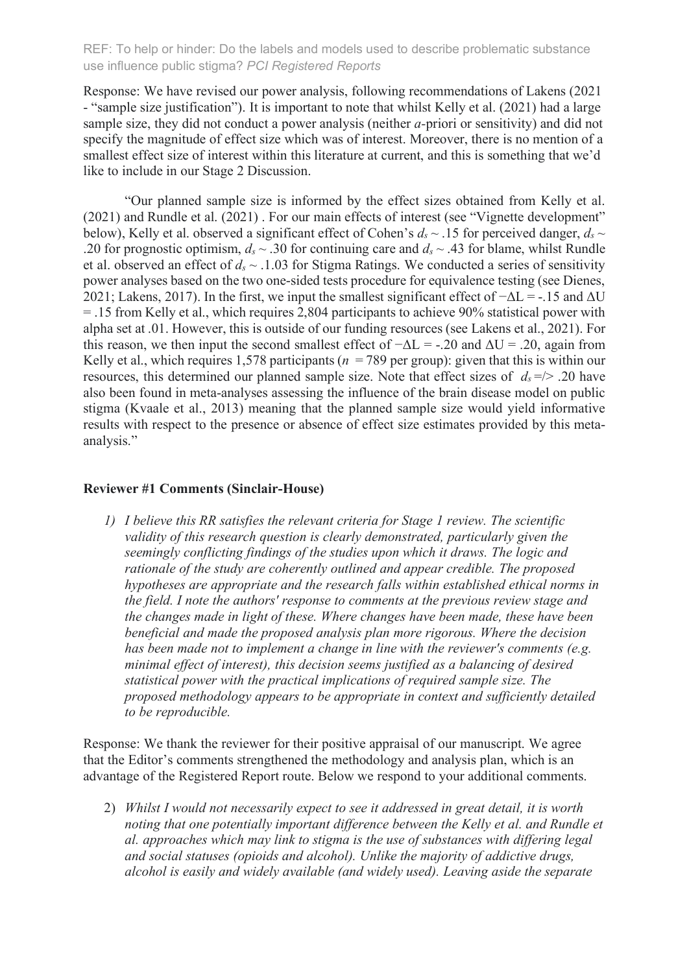Response: We have revised our power analysis, following recommendations of Lakens (2021 - "sample size justification"). It is important to note that whilst Kelly et al. (2021) had a large sample size, they did not conduct a power analysis (neither *a-*priori or sensitivity) and did not specify the magnitude of effect size which was of interest. Moreover, there is no mention of a smallest effect size of interest within this literature at current, and this is something that we'd like to include in our Stage 2 Discussion.

"Our planned sample size is informed by the effect sizes obtained from Kelly et al. (2021) and Rundle et al. (2021) . For our main effects of interest (see "Vignette development" below), Kelly et al. observed a significant effect of Cohen's  $d_s \sim$  15 for perceived danger,  $d_s \sim$ .20 for prognostic optimism,  $d_s \sim 0.30$  for continuing care and  $d_s \sim 0.43$  for blame, whilst Rundle et al. observed an effect of *ds* ~ .1.03 for Stigma Ratings. We conducted a series of sensitivity power analyses based on the two one-sided tests procedure for equivalence testing (see Dienes, 2021; Lakens, 2017). In the first, we input the smallest significant effect of  $-\Delta L = -15$  and  $\Delta U$ = .15 from Kelly et al., which requires 2,804 participants to achieve 90% statistical power with alpha set at .01. However, this is outside of our funding resources (see Lakens et al., 2021). For this reason, we then input the second smallest effect of  $-\Delta L =$  -.20 and  $\Delta U = .20$ , again from Kelly et al., which requires 1,578 participants ( $n = 789$  per group): given that this is within our resources, this determined our planned sample size. Note that effect sizes of  $d_s = / > .20$  have also been found in meta-analyses assessing the influence of the brain disease model on public stigma (Kvaale et al., 2013) meaning that the planned sample size would yield informative results with respect to the presence or absence of effect size estimates provided by this metaanalysis."

#### **Reviewer #1 Comments (Sinclair-House)**

*1) I believe this RR satisfies the relevant criteria for Stage 1 review. The scientific validity of this research question is clearly demonstrated, particularly given the seemingly conflicting findings of the studies upon which it draws. The logic and rationale of the study are coherently outlined and appear credible. The proposed hypotheses are appropriate and the research falls within established ethical norms in the field. I note the authors' response to comments at the previous review stage and the changes made in light of these. Where changes have been made, these have been beneficial and made the proposed analysis plan more rigorous. Where the decision has been made not to implement a change in line with the reviewer's comments (e.g. minimal effect of interest), this decision seems justified as a balancing of desired statistical power with the practical implications of required sample size. The proposed methodology appears to be appropriate in context and sufficiently detailed to be reproducible.*

Response: We thank the reviewer for their positive appraisal of our manuscript. We agree that the Editor's comments strengthened the methodology and analysis plan, which is an advantage of the Registered Report route. Below we respond to your additional comments.

2) *Whilst I would not necessarily expect to see it addressed in great detail, it is worth noting that one potentially important difference between the Kelly et al. and Rundle et al. approaches which may link to stigma is the use of substances with differing legal and social statuses (opioids and alcohol). Unlike the majority of addictive drugs, alcohol is easily and widely available (and widely used). Leaving aside the separate*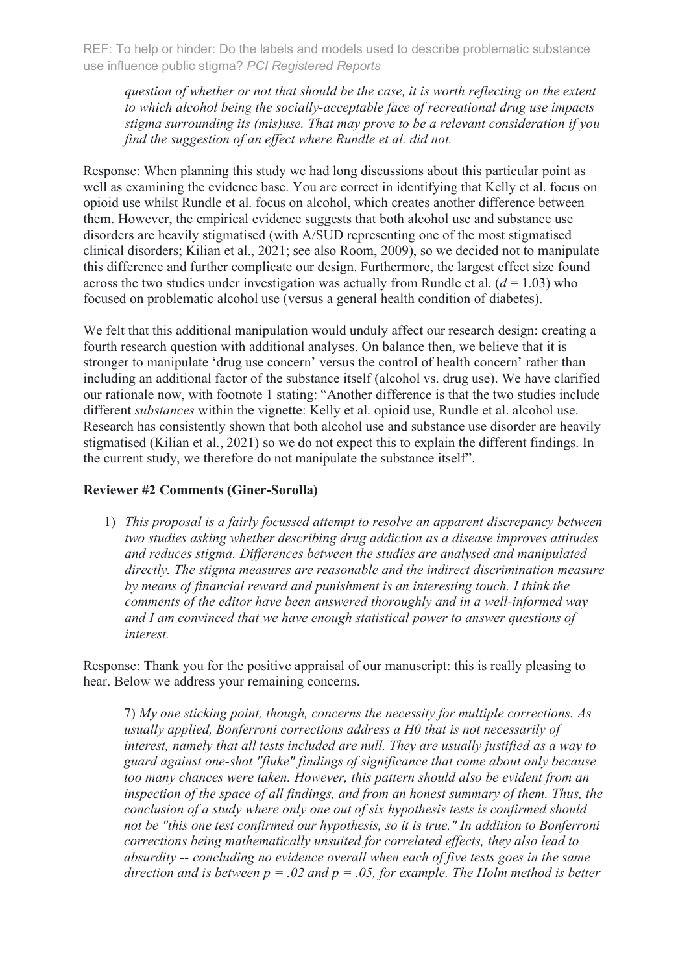*question of whether or not that should be the case, it is worth reflecting on the extent to which alcohol being the socially-acceptable face of recreational drug use impacts stigma surrounding its (mis)use. That may prove to be a relevant consideration if you find the suggestion of an effect where Rundle et al. did not.*

Response: When planning this study we had long discussions about this particular point as well as examining the evidence base. You are correct in identifying that Kelly et al. focus on opioid use whilst Rundle et al. focus on alcohol, which creates another difference between them. However, the empirical evidence suggests that both alcohol use and substance use disorders are heavily stigmatised (with A/SUD representing one of the most stigmatised clinical disorders; Kilian et al., 2021; see also Room, 2009), so we decided not to manipulate this difference and further complicate our design. Furthermore, the largest effect size found across the two studies under investigation was actually from Rundle et al.  $(d = 1.03)$  who focused on problematic alcohol use (versus a general health condition of diabetes).

We felt that this additional manipulation would unduly affect our research design: creating a fourth research question with additional analyses. On balance then, we believe that it is stronger to manipulate 'drug use concern' versus the control of health concern' rather than including an additional factor of the substance itself (alcohol vs. drug use). We have clarified our rationale now, with footnote 1 stating: "Another difference is that the two studies include different *substances* within the vignette: Kelly et al. opioid use, Rundle et al. alcohol use. Research has consistently shown that both alcohol use and substance use disorder are heavily stigmatised (Kilian et al., 2021) so we do not expect this to explain the different findings. In the current study, we therefore do not manipulate the substance itself".

### **Reviewer #2 Comments (Giner-Sorolla)**

1) *This proposal is a fairly focussed attempt to resolve an apparent discrepancy between two studies asking whether describing drug addiction as a disease improves attitudes and reduces stigma. Differences between the studies are analysed and manipulated directly. The stigma measures are reasonable and the indirect discrimination measure by means of financial reward and punishment is an interesting touch. I think the comments of the editor have been answered thoroughly and in a well-informed way and I am convinced that we have enough statistical power to answer questions of interest.*

Response: Thank you for the positive appraisal of our manuscript: this is really pleasing to hear. Below we address your remaining concerns.

7) *My one sticking point, though, concerns the necessity for multiple corrections. As usually applied, Bonferroni corrections address a H0 that is not necessarily of interest, namely that all tests included are null. They are usually justified as a way to guard against one-shot "fluke" findings of significance that come about only because too many chances were taken. However, this pattern should also be evident from an inspection of the space of all findings, and from an honest summary of them. Thus, the conclusion of a study where only one out of six hypothesis tests is confirmed should not be "this one test confirmed our hypothesis, so it is true." In addition to Bonferroni corrections being mathematically unsuited for correlated effects, they also lead to absurdity -- concluding no evidence overall when each of five tests goes in the same direction and is between*  $p = 0.02$  *and*  $p = 0.05$ *, for example. The Holm method is better*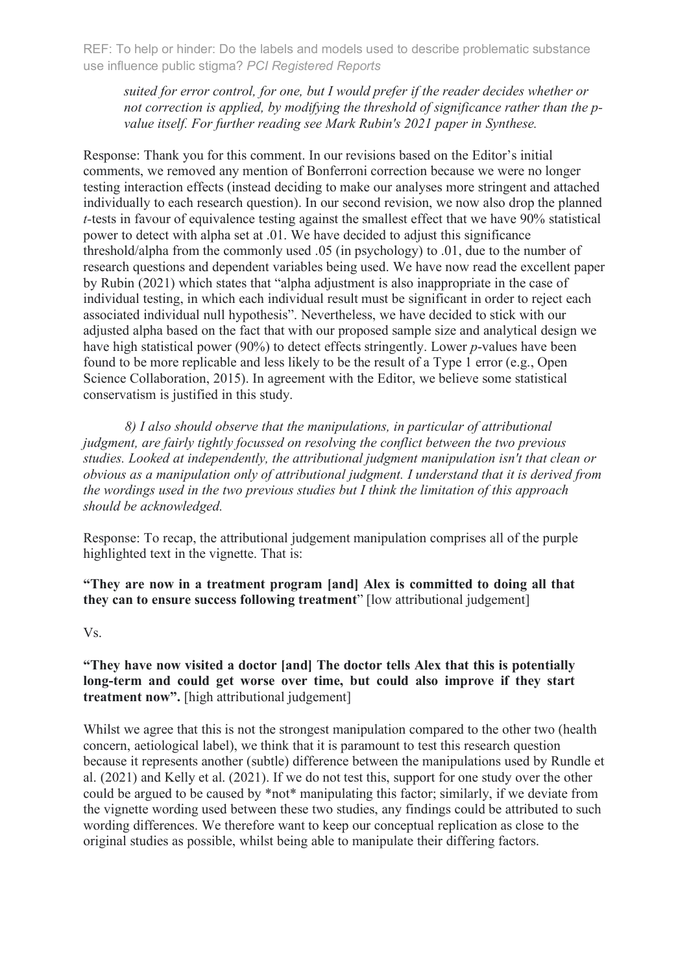*suited for error control, for one, but I would prefer if the reader decides whether or not correction is applied, by modifying the threshold of significance rather than the pvalue itself. For further reading see Mark Rubin's 2021 paper in Synthese.*

Response: Thank you for this comment. In our revisions based on the Editor's initial comments, we removed any mention of Bonferroni correction because we were no longer testing interaction effects (instead deciding to make our analyses more stringent and attached individually to each research question). In our second revision, we now also drop the planned *t-*tests in favour of equivalence testing against the smallest effect that we have 90% statistical power to detect with alpha set at .01. We have decided to adjust this significance threshold/alpha from the commonly used .05 (in psychology) to .01, due to the number of research questions and dependent variables being used. We have now read the excellent paper by Rubin (2021) which states that "alpha adjustment is also inappropriate in the case of individual testing, in which each individual result must be significant in order to reject each associated individual null hypothesis". Nevertheless, we have decided to stick with our adjusted alpha based on the fact that with our proposed sample size and analytical design we have high statistical power (90%) to detect effects stringently. Lower *p*-values have been found to be more replicable and less likely to be the result of a Type 1 error (e.g., Open Science Collaboration, 2015). In agreement with the Editor, we believe some statistical conservatism is justified in this study.

*8) I also should observe that the manipulations, in particular of attributional judgment, are fairly tightly focussed on resolving the conflict between the two previous studies. Looked at independently, the attributional judgment manipulation isn't that clean or obvious as a manipulation only of attributional judgment. I understand that it is derived from the wordings used in the two previous studies but I think the limitation of this approach should be acknowledged.* 

Response: To recap, the attributional judgement manipulation comprises all of the purple highlighted text in the vignette. That is:

**"They are now in a treatment program [and] Alex is committed to doing all that they can to ensure success following treatment**" [low attributional judgement]

Vs.

## **"They have now visited a doctor [and] The doctor tells Alex that this is potentially long-term and could get worse over time, but could also improve if they start treatment now".** [high attributional judgement]

Whilst we agree that this is not the strongest manipulation compared to the other two (health concern, aetiological label), we think that it is paramount to test this research question because it represents another (subtle) difference between the manipulations used by Rundle et al. (2021) and Kelly et al. (2021). If we do not test this, support for one study over the other could be argued to be caused by \*not\* manipulating this factor; similarly, if we deviate from the vignette wording used between these two studies, any findings could be attributed to such wording differences. We therefore want to keep our conceptual replication as close to the original studies as possible, whilst being able to manipulate their differing factors.